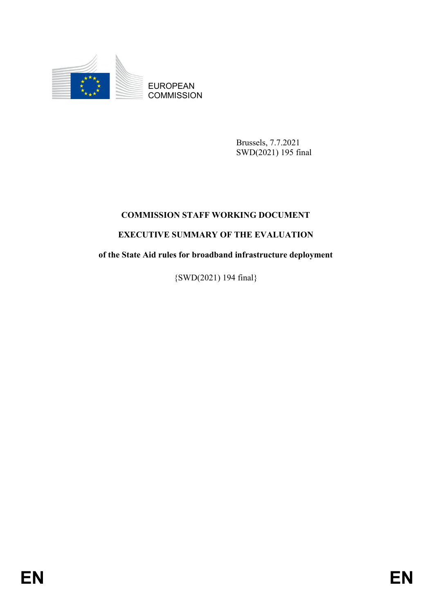

**COMMISSION** 

Brussels, 7.7.2021 SWD(2021) 195 final

## **COMMISSION STAFF WORKING DOCUMENT**

## **EXECUTIVE SUMMARY OF THE EVALUATION**

ENGMISSION<br>
ENGMISSION<br>
ENGMISSION<br>
ENGMISSION<br>
ENGMISSION<br>
ENGMISSION<br>
ENGMISSION<br>
ENGMISSION<br>
ENGMISSION<br>
STAPE WORKING DOCUMENT<br>
ENGLICUTIVE SUMMARY OF THE EVALUATION<br>
of the State Aid rules for broadband infrastracture **of the State Aid rules for broadband infrastructure deployment**

{SWD(2021) 194 final}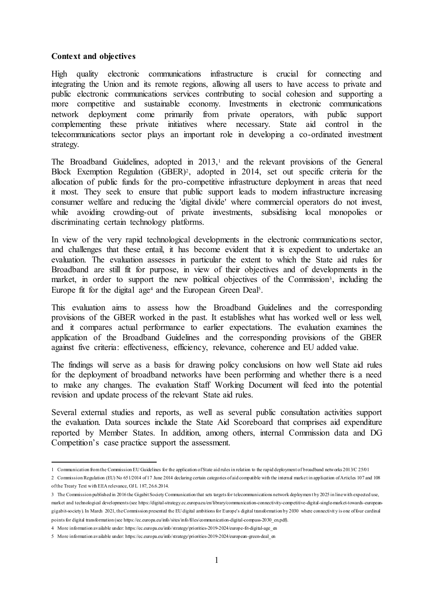## **Context and objectives**

High quality electronic communications infrastructure is crucial for connecting and integrating the Union and its remote regions, allowing all users to have access to private and public electronic communications services contributing to social cohesion and supporting a more competitive and sustainable economy. Investments in electronic communications network deployment come primarily from private operators, with public support complementing these private initiatives where necessary. State aid control in the telecommunications sector plays an important role in developing a co-ordinated investment strategy.

The Broadband Guidelines, adopted in  $2013$ ,<sup>1</sup> and the relevant provisions of the General Block Exemption Regulation (GBER)<sup>2</sup> , adopted in 2014, set out specific criteria for the allocation of public funds for the pro-competitive infrastructure deployment in areas that need it most. They seek to ensure that public support leads to modern infrastructure increasing consumer welfare and reducing the 'digital divide' where commercial operators do not invest, while avoiding crowding-out of private investments, subsidising local monopolies or discriminating certain technology platforms.

In view of the very rapid technological developments in the electronic communications sector, and challenges that these entail, it has become evident that it is expedient to undertake an evaluation. The evaluation assesses in particular the extent to which the State aid rules for Broadband are still fit for purpose, in view of their objectives and of developments in the market, in order to support the new political objectives of the Commission<sup>3</sup>, including the Europe fit for the digital age<sup>4</sup> and the European Green Deal<sup>5</sup>.

This evaluation aims to assess how the Broadband Guidelines and the corresponding provisions of the GBER worked in the past. It establishes what has worked well or less well, and it compares actual performance to earlier expectations. The evaluation examines the application of the Broadband Guidelines and the corresponding provisions of the GBER against five criteria: effectiveness, efficiency, relevance, coherence and EU added value.

The findings will serve as a basis for drawing policy conclusions on how well State aid rules for the deployment of broadband networks have been performing and whether there is a need to make any changes. The evaluation Staff Working Document will feed into the potential revision and update process of the relevant State aid rules.

Several external studies and reports, as well as several public consultation activities support the evaluation. Data sources include the State Aid Scoreboard that comprises aid expenditure reported by Member States. In addition, among others, internal Commission data and DG Competition's case practice support the assessment.

 $\overline{a}$ 1 Communication from the Commission EU Guidelines for the application of State aid rules in relation to the rapid deployment of broadband networks 2013/C 25/01

<sup>2</sup> Commission Regulation (EU) No 651/2014 of 17 June 2014 declaring certain categories of aid compatible with the internal market in application of Articles 107 and 108 of the Treaty Text with EEA relevance, OJ L 187, 26.6.2014.

<sup>3</sup> The Commission published in 2016 the Gigabit Society Communication that sets targets for telecommunications network deploymen t by 2025 in line with expected use, market and technological developments (se[e https://digital-strategy.ec.europa.eu/en/library/communication-connectivity-competitive-digital-single-market-towards-european](https://digital-strategy.ec.europa.eu/en/library/communication-connectivity-competitive-digital-single-market-towards-european-gigabit-society)[gigabit-society\)](https://digital-strategy.ec.europa.eu/en/library/communication-connectivity-competitive-digital-single-market-towards-european-gigabit-society). In March 2021, the Commission presented the EU digital ambitions for Europe's digital transformation by 2030 where connectivit y is one of four cardinal points for digital transformation (se[e https://ec.europa.eu/info/sites/info/files/communication-digital-compass-2030\\_en.pdf](https://ec.europa.eu/info/sites/info/files/communication-digital-compass-2030_en.pdf)).

<sup>4</sup> More information available unde[r: https://ec.europa.eu/info/strategy/priorities-2019-2024/europe-fit-digital-age\\_en](https://ec.europa.eu/info/strategy/priorities-2019-2024/europe-fit-digital-age_en)

<sup>5</sup> More information available unde[r: https://ec.europa.eu/info/strategy/priorities-2019-2024/european-green-deal\\_en](https://ec.europa.eu/info/strategy/priorities-2019-2024/european-green-deal_en)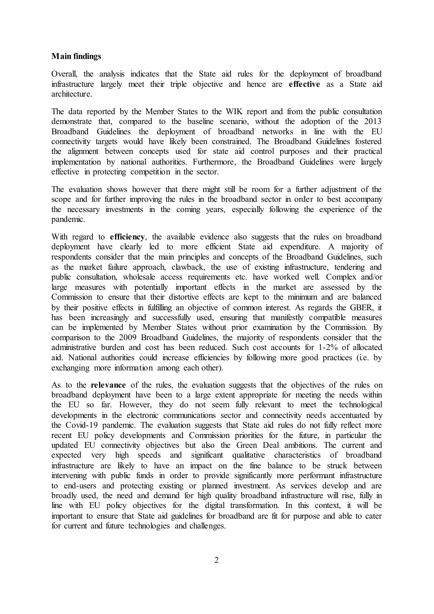## **Main findings**

Overall, the analysis indicates that the State aid rules for the deployment of broadband infrastructure largely meet their triple objective and hence are **effective** as a State aid architecture.

The data reported by the Member States to the WIK report and from the public consultation demonstrate that, compared to the baseline scenario, without the adoption of the 2013 Broadband Guidelines the deployment of broadband networks in line with the EU connectivity targets would have likely been constrained. The Broadband Guidelines fostered the alignment between concepts used for state aid control purposes and their practical implementation by national authorities. Furthermore, the Broadband Guidelines were largely effective in protecting competition in the sector.

The evaluation shows however that there might still be room for a further adjustment of the scope and for further improving the rules in the broadband sector in order to best accompany the necessary investments in the coming years, especially following the experience of the pandemic.

With regard to **efficiency**, the available evidence also suggests that the rules on broadband deployment have clearly led to more efficient State aid expenditure. A majority of respondents consider that the main principles and concepts of the Broadband Guidelines, such as the market failure approach, clawback, the use of existing infrastructure, tendering and public consultation, wholesale access requirements etc. have worked well. Complex and/or large measures with potentially important effects in the market are assessed by the Commission to ensure that their distortive effects are kept to the minimum and are balanced by their positive effects in fulfilling an objective of common interest. As regards the GBER, it has been increasingly and successfully used, ensuring that manifestly compatible measures can be implemented by Member States without prior examination by the Commission. By comparison to the 2009 Broadband Guidelines, the majority of respondents consider that the administrative burden and cost has been reduced. Such cost accounts for 1-2% of allocated aid. National authorities could increase efficiencies by following more good practices (i.e. by exchanging more information among each other).

As to the **relevance** of the rules, the evaluation suggests that the objectives of the rules on broadband deployment have been to a large extent appropriate for meeting the needs within the EU so far. However, they do not seem fully relevant to meet the technological developments in the electronic communications sector and connectivity needs accentuated by the Covid-19 pandemic. The evaluation suggests that State aid rules do not fully reflect more recent EU policy developments and Commission priorities for the future, in particular the updated EU connectivity objectives but also the Green Deal ambitions. The current and expected very high speeds and significant qualitative characteristics of broadband infrastructure are likely to have an impact on the fine balance to be struck between intervening with public funds in order to provide significantly more performant infrastructure to end-users and protecting existing or planned investment. As services develop and are broadly used, the need and demand for high quality broadband infrastructure will rise, fully in line with EU policy objectives for the digital transformation. In this context, it will be important to ensure that State aid guidelines for broadband are fit for purpose and able to cater for current and future technologies and challenges.